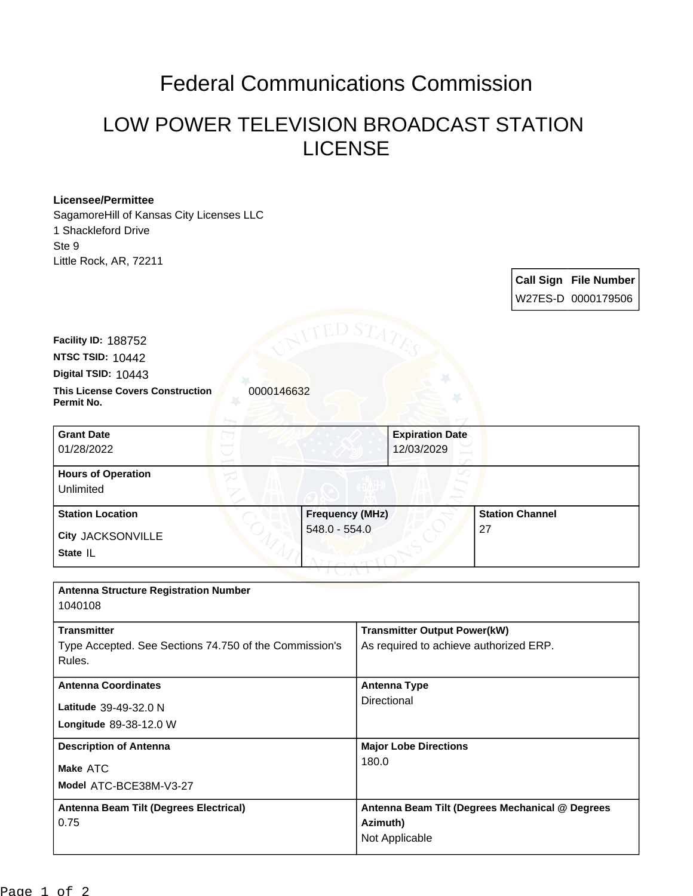## Federal Communications Commission

## LOW POWER TELEVISION BROADCAST STATION LICENSE

## **Licensee/Permittee**

**Facility ID:** 188752

SagamoreHill of Kansas City Licenses LLC 1 Shackleford Drive Ste 9 Little Rock, AR, 72211

> **Call Sign File Number** W27ES-D 0000179506

**This License Covers Construction**  0000146632 **Permit No. Digital TSID:** 10443 **NTSC TSID:** 10442 **Grant Date**

| <b>Grant Date</b>         |                        | <b>Expiration Date</b> |  |
|---------------------------|------------------------|------------------------|--|
| 01/28/2022                |                        | 12/03/2029             |  |
| <b>Hours of Operation</b> |                        |                        |  |
| Unlimited                 |                        |                        |  |
| <b>Station Location</b>   | <b>Frequency (MHz)</b> | <b>Station Channel</b> |  |
| <b>City JACKSONVILLE</b>  | 548.0 - 554.0          | 27                     |  |
| State IL                  |                        |                        |  |

| <b>Antenna Structure Registration Number</b>                                 |                                                                               |
|------------------------------------------------------------------------------|-------------------------------------------------------------------------------|
| 1040108                                                                      |                                                                               |
| <b>Transmitter</b><br>Type Accepted. See Sections 74.750 of the Commission's | <b>Transmitter Output Power(kW)</b><br>As required to achieve authorized ERP. |
| Rules.                                                                       |                                                                               |
| <b>Antenna Coordinates</b>                                                   | <b>Antenna Type</b>                                                           |
| Latitude 39-49-32.0 N                                                        | Directional                                                                   |
| Longitude 89-38-12.0 W                                                       |                                                                               |
| <b>Description of Antenna</b>                                                | <b>Major Lobe Directions</b>                                                  |
| Make ATC                                                                     | 180.0                                                                         |
| Model ATC-BCE38M-V3-27                                                       |                                                                               |
| Antenna Beam Tilt (Degrees Electrical)                                       | Antenna Beam Tilt (Degrees Mechanical @ Degrees                               |
| 0.75                                                                         | Azimuth)                                                                      |
|                                                                              | Not Applicable                                                                |